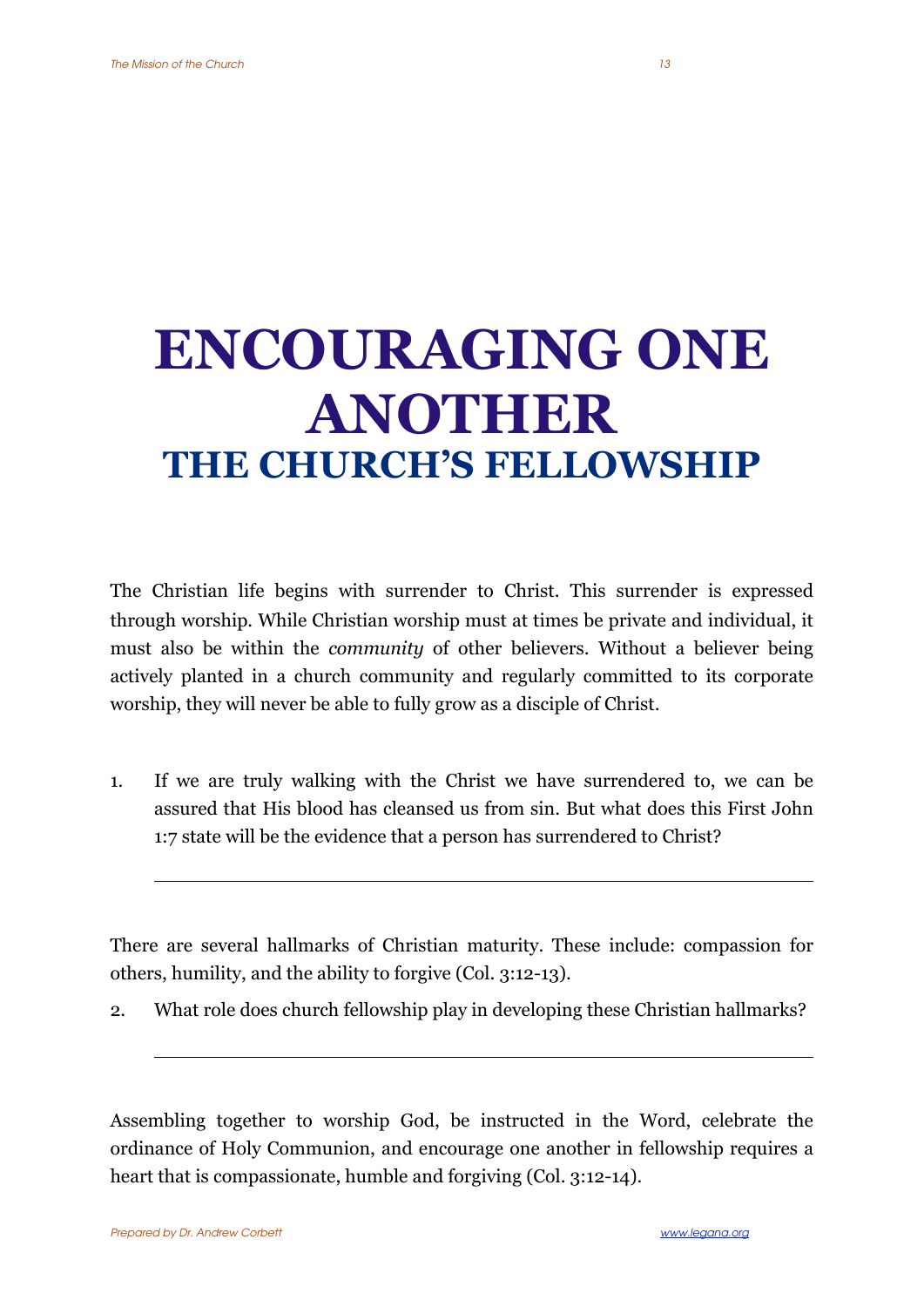## **ENCOURAGING ONE ANOTHER THE CHURCH'S FELLOWSHIP**

The Christian life begins with surrender to Christ. This surrender is expressed through worship. While Christian worship must at times be private and individual, it must also be within the *community* of other believers. Without a believer being actively planted in a church community and regularly committed to its corporate worship, they will never be able to fully grow as a disciple of Christ.

1. If we are truly walking with the Christ we have surrendered to, we can be assured that His blood has cleansed us from sin. But what does this First John 1:7 state will be the evidence that a person has surrendered to Christ?

There are several hallmarks of Christian maturity. These include: compassion for others, humility, and the ability to forgive (Col. 3:12-13).

2. What role does church fellowship play in developing these Christian hallmarks?

Assembling together to worship God, be instructed in the Word, celebrate the ordinance of Holy Communion, and encourage one another in fellowship requires a heart that is compassionate, humble and forgiving (Col. 3:12-14).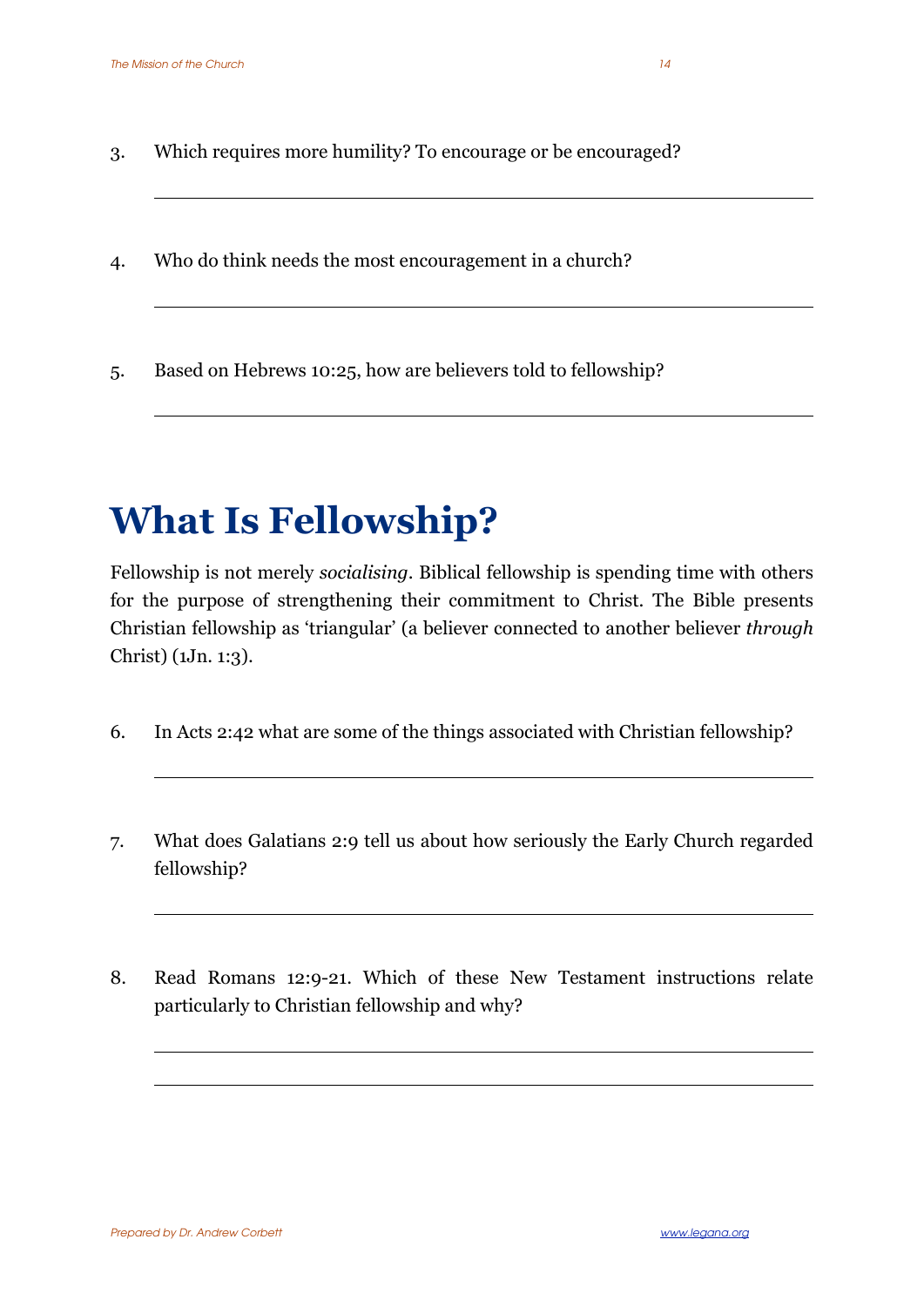- 3. Which requires more humility? To encourage or be encouraged?
- 4. Who do think needs the most encouragement in a church?
- 5. Based on Hebrews 10:25, how are believers told to fellowship?

## **What Is Fellowship?**

Fellowship is not merely *socialising*. Biblical fellowship is spending time with others for the purpose of strengthening their commitment to Christ. The Bible presents Christian fellowship as 'triangular' (a believer connected to another believer *through* Christ) (1Jn. 1:3).

- 6. In Acts 2:42 what are some of the things associated with Christian fellowship?
- 7. What does Galatians 2:9 tell us about how seriously the Early Church regarded fellowship?
- 8. Read Romans 12:9-21. Which of these New Testament instructions relate particularly to Christian fellowship and why?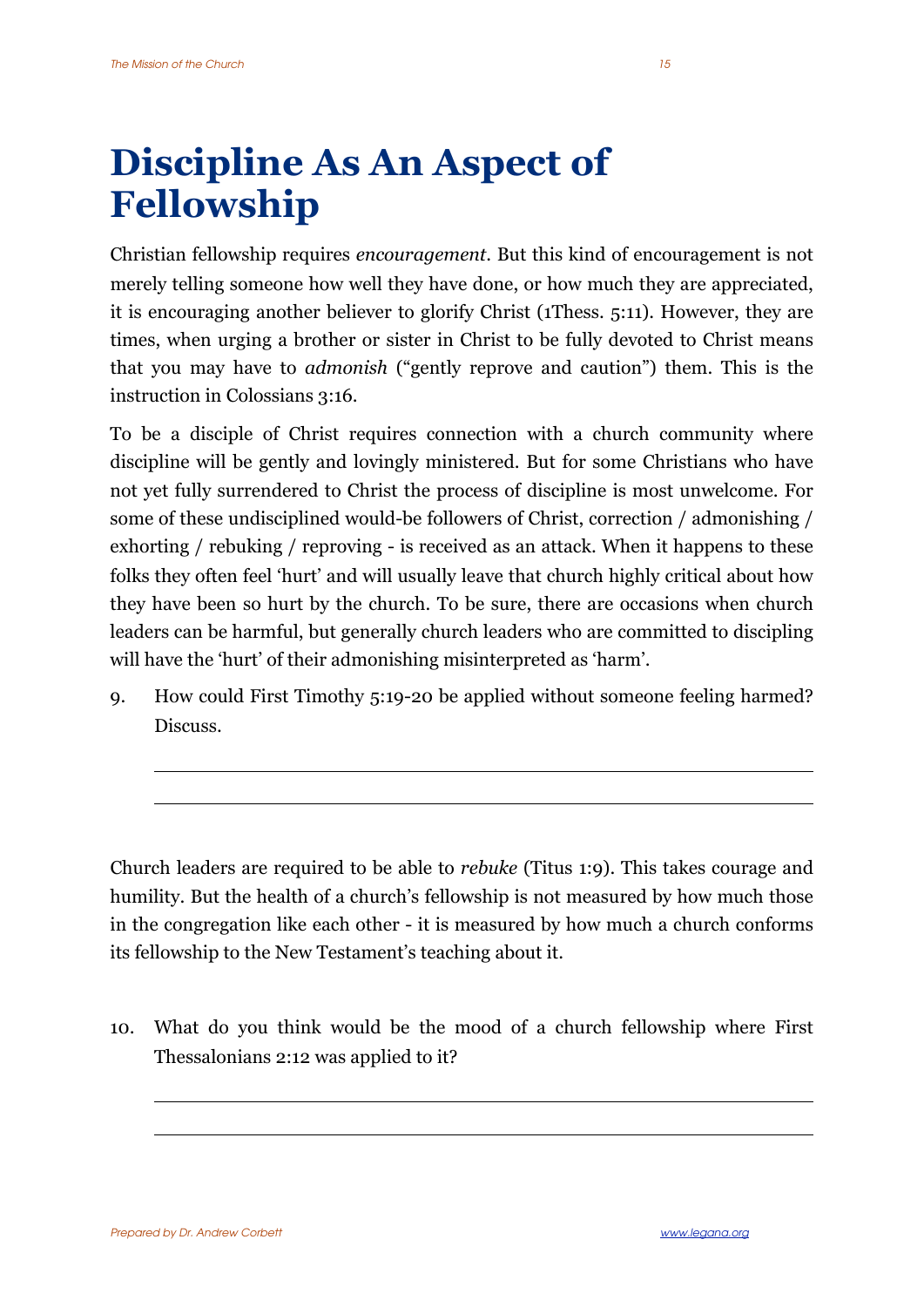## **Discipline As An Aspect of Fellowship**

Christian fellowship requires *encouragement*. But this kind of encouragement is not merely telling someone how well they have done, or how much they are appreciated, it is encouraging another believer to glorify Christ (1Thess. 5:11). However, they are times, when urging a brother or sister in Christ to be fully devoted to Christ means that you may have to *admonish* ("gently reprove and caution") them. This is the instruction in Colossians 3:16.

To be a disciple of Christ requires connection with a church community where discipline will be gently and lovingly ministered. But for some Christians who have not yet fully surrendered to Christ the process of discipline is most unwelcome. For some of these undisciplined would-be followers of Christ, correction / admonishing / exhorting / rebuking / reproving - is received as an attack. When it happens to these folks they often feel 'hurt' and will usually leave that church highly critical about how they have been so hurt by the church. To be sure, there are occasions when church leaders can be harmful, but generally church leaders who are committed to discipling will have the 'hurt' of their admonishing misinterpreted as 'harm'.

9. How could First Timothy 5:19-20 be applied without someone feeling harmed? Discuss.

Church leaders are required to be able to *rebuke* (Titus 1:9). This takes courage and humility. But the health of a church's fellowship is not measured by how much those in the congregation like each other - it is measured by how much a church conforms its fellowship to the New Testament's teaching about it.

10. What do you think would be the mood of a church fellowship where First Thessalonians 2:12 was applied to it?